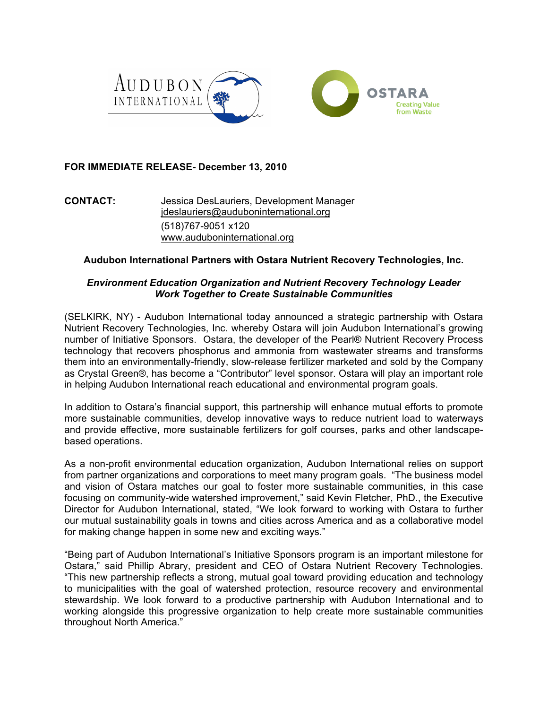

# **FOR IMMEDIATE RELEASE- December 13, 2010**

**CONTACT:** Jessica DesLauriers, Development Manager jdeslauriers@auduboninternational.org (518)767-9051 x120 www.auduboninternational.org

## **Audubon International Partners with Ostara Nutrient Recovery Technologies, Inc.**

## *Environment Education Organization and Nutrient Recovery Technology Leader Work Together to Create Sustainable Communities*

(SELKIRK, NY) - Audubon International today announced a strategic partnership with Ostara Nutrient Recovery Technologies, Inc. whereby Ostara will join Audubon International's growing number of Initiative Sponsors. Ostara, the developer of the Pearl® Nutrient Recovery Process technology that recovers phosphorus and ammonia from wastewater streams and transforms them into an environmentally-friendly, slow-release fertilizer marketed and sold by the Company as Crystal Green®, has become a "Contributor" level sponsor. Ostara will play an important role in helping Audubon International reach educational and environmental program goals.

In addition to Ostara's financial support, this partnership will enhance mutual efforts to promote more sustainable communities, develop innovative ways to reduce nutrient load to waterways and provide effective, more sustainable fertilizers for golf courses, parks and other landscapebased operations.

As a non-profit environmental education organization, Audubon International relies on support from partner organizations and corporations to meet many program goals. "The business model and vision of Ostara matches our goal to foster more sustainable communities, in this case focusing on community-wide watershed improvement," said Kevin Fletcher, PhD., the Executive Director for Audubon International, stated, "We look forward to working with Ostara to further our mutual sustainability goals in towns and cities across America and as a collaborative model for making change happen in some new and exciting ways."

"Being part of Audubon International's Initiative Sponsors program is an important milestone for Ostara," said Phillip Abrary, president and CEO of Ostara Nutrient Recovery Technologies. "This new partnership reflects a strong, mutual goal toward providing education and technology to municipalities with the goal of watershed protection, resource recovery and environmental stewardship. We look forward to a productive partnership with Audubon International and to working alongside this progressive organization to help create more sustainable communities throughout North America."